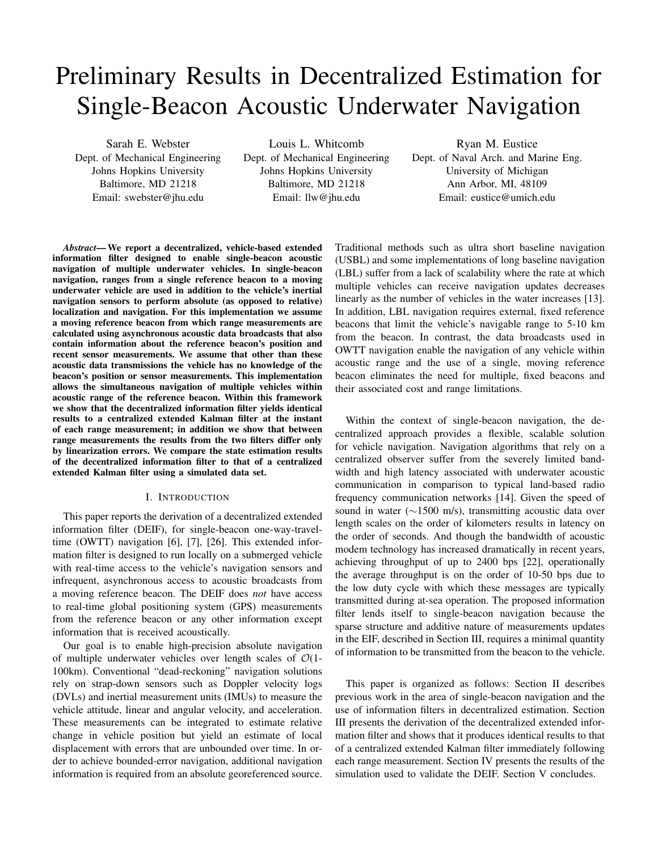# Preliminary Results in Decentralized Estimation for Single-Beacon Acoustic Underwater Navigation

Sarah E. Webster Dept. of Mechanical Engineering Johns Hopkins University Baltimore, MD 21218 Email: swebster@jhu.edu

Louis L. Whitcomb Dept. of Mechanical Engineering Johns Hopkins University Baltimore, MD 21218 Email: llw@jhu.edu

Ryan M. Eustice Dept. of Naval Arch. and Marine Eng. University of Michigan Ann Arbor, MI, 48109 Email: eustice@umich.edu

*Abstract*— We report a decentralized, vehicle-based extended information filter designed to enable single-beacon acoustic navigation of multiple underwater vehicles. In single-beacon navigation, ranges from a single reference beacon to a moving underwater vehicle are used in addition to the vehicle's inertial navigation sensors to perform absolute (as opposed to relative) localization and navigation. For this implementation we assume a moving reference beacon from which range measurements are calculated using asynchronous acoustic data broadcasts that also contain information about the reference beacon's position and recent sensor measurements. We assume that other than these acoustic data transmissions the vehicle has no knowledge of the beacon's position or sensor measurements. This implementation allows the simultaneous navigation of multiple vehicles within acoustic range of the reference beacon. Within this framework we show that the decentralized information filter yields identical results to a centralized extended Kalman filter at the instant of each range measurement; in addition we show that between range measurements the results from the two filters differ only by linearization errors. We compare the state estimation results of the decentralized information filter to that of a centralized extended Kalman filter using a simulated data set.

## I. INTRODUCTION

This paper reports the derivation of a decentralized extended information filter (DEIF), for single-beacon one-way-traveltime (OWTT) navigation [6], [7], [26]. This extended information filter is designed to run locally on a submerged vehicle with real-time access to the vehicle's navigation sensors and infrequent, asynchronous access to acoustic broadcasts from a moving reference beacon. The DEIF does *not* have access to real-time global positioning system (GPS) measurements from the reference beacon or any other information except information that is received acoustically.

Our goal is to enable high-precision absolute navigation of multiple underwater vehicles over length scales of  $O(1 -$ 100km). Conventional "dead-reckoning" navigation solutions rely on strap-down sensors such as Doppler velocity logs (DVLs) and inertial measurement units (IMUs) to measure the vehicle attitude, linear and angular velocity, and acceleration. These measurements can be integrated to estimate relative change in vehicle position but yield an estimate of local displacement with errors that are unbounded over time. In order to achieve bounded-error navigation, additional navigation information is required from an absolute georeferenced source.

Traditional methods such as ultra short baseline navigation (USBL) and some implementations of long baseline navigation (LBL) suffer from a lack of scalability where the rate at which multiple vehicles can receive navigation updates decreases linearly as the number of vehicles in the water increases [13]. In addition, LBL navigation requires external, fixed reference beacons that limit the vehicle's navigable range to 5-10 km from the beacon. In contrast, the data broadcasts used in OWTT navigation enable the navigation of any vehicle within acoustic range and the use of a single, moving reference beacon eliminates the need for multiple, fixed beacons and their associated cost and range limitations.

Within the context of single-beacon navigation, the decentralized approach provides a flexible, scalable solution for vehicle navigation. Navigation algorithms that rely on a centralized observer suffer from the severely limited bandwidth and high latency associated with underwater acoustic communication in comparison to typical land-based radio frequency communication networks [14]. Given the speed of sound in water (∼1500 m/s), transmitting acoustic data over length scales on the order of kilometers results in latency on the order of seconds. And though the bandwidth of acoustic modem technology has increased dramatically in recent years, achieving throughput of up to 2400 bps [22], operationally the average throughput is on the order of 10-50 bps due to the low duty cycle with which these messages are typically transmitted during at-sea operation. The proposed information filter lends itself to single-beacon navigation because the sparse structure and additive nature of measurements updates in the EIF, described in Section III, requires a minimal quantity of information to be transmitted from the beacon to the vehicle.

This paper is organized as follows: Section II describes previous work in the area of single-beacon navigation and the use of information filters in decentralized estimation. Section III presents the derivation of the decentralized extended information filter and shows that it produces identical results to that of a centralized extended Kalman filter immediately following each range measurement. Section IV presents the results of the simulation used to validate the DEIF. Section V concludes.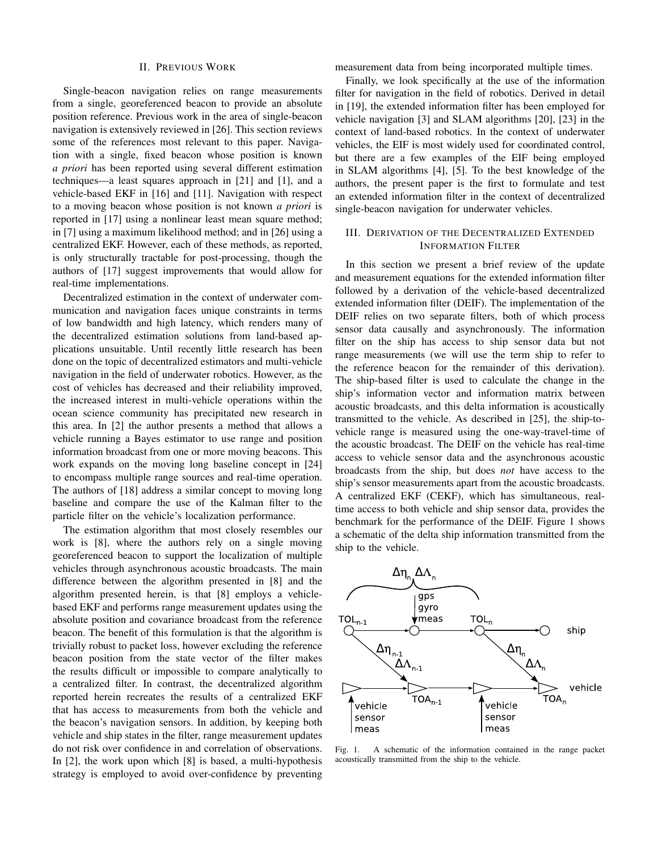#### II. PREVIOUS WORK

Single-beacon navigation relies on range measurements from a single, georeferenced beacon to provide an absolute position reference. Previous work in the area of single-beacon navigation is extensively reviewed in [26]. This section reviews some of the references most relevant to this paper. Navigation with a single, fixed beacon whose position is known *a priori* has been reported using several different estimation techniques—a least squares approach in [21] and [1], and a vehicle-based EKF in [16] and [11]. Navigation with respect to a moving beacon whose position is not known *a priori* is reported in [17] using a nonlinear least mean square method; in [7] using a maximum likelihood method; and in [26] using a centralized EKF. However, each of these methods, as reported, is only structurally tractable for post-processing, though the authors of [17] suggest improvements that would allow for real-time implementations.

Decentralized estimation in the context of underwater communication and navigation faces unique constraints in terms of low bandwidth and high latency, which renders many of the decentralized estimation solutions from land-based applications unsuitable. Until recently little research has been done on the topic of decentralized estimators and multi-vehicle navigation in the field of underwater robotics. However, as the cost of vehicles has decreased and their reliability improved, the increased interest in multi-vehicle operations within the ocean science community has precipitated new research in this area. In [2] the author presents a method that allows a vehicle running a Bayes estimator to use range and position information broadcast from one or more moving beacons. This work expands on the moving long baseline concept in [24] to encompass multiple range sources and real-time operation. The authors of [18] address a similar concept to moving long baseline and compare the use of the Kalman filter to the particle filter on the vehicle's localization performance.

The estimation algorithm that most closely resembles our work is [8], where the authors rely on a single moving georeferenced beacon to support the localization of multiple vehicles through asynchronous acoustic broadcasts. The main difference between the algorithm presented in [8] and the algorithm presented herein, is that [8] employs a vehiclebased EKF and performs range measurement updates using the absolute position and covariance broadcast from the reference beacon. The benefit of this formulation is that the algorithm is trivially robust to packet loss, however excluding the reference beacon position from the state vector of the filter makes the results difficult or impossible to compare analytically to a centralized filter. In contrast, the decentralized algorithm reported herein recreates the results of a centralized EKF that has access to measurements from both the vehicle and the beacon's navigation sensors. In addition, by keeping both vehicle and ship states in the filter, range measurement updates do not risk over confidence in and correlation of observations. In [2], the work upon which [8] is based, a multi-hypothesis strategy is employed to avoid over-confidence by preventing measurement data from being incorporated multiple times.

Finally, we look specifically at the use of the information filter for navigation in the field of robotics. Derived in detail in [19], the extended information filter has been employed for vehicle navigation [3] and SLAM algorithms [20], [23] in the context of land-based robotics. In the context of underwater vehicles, the EIF is most widely used for coordinated control, but there are a few examples of the EIF being employed in SLAM algorithms [4], [5]. To the best knowledge of the authors, the present paper is the first to formulate and test an extended information filter in the context of decentralized single-beacon navigation for underwater vehicles.

# III. DERIVATION OF THE DECENTRALIZED EXTENDED INFORMATION FILTER

In this section we present a brief review of the update and measurement equations for the extended information filter followed by a derivation of the vehicle-based decentralized extended information filter (DEIF). The implementation of the DEIF relies on two separate filters, both of which process sensor data causally and asynchronously. The information filter on the ship has access to ship sensor data but not range measurements (we will use the term ship to refer to the reference beacon for the remainder of this derivation). The ship-based filter is used to calculate the change in the ship's information vector and information matrix between acoustic broadcasts, and this delta information is acoustically transmitted to the vehicle. As described in [25], the ship-tovehicle range is measured using the one-way-travel-time of the acoustic broadcast. The DEIF on the vehicle has real-time access to vehicle sensor data and the asynchronous acoustic broadcasts from the ship, but does *not* have access to the ship's sensor measurements apart from the acoustic broadcasts. A centralized EKF (CEKF), which has simultaneous, realtime access to both vehicle and ship sensor data, provides the benchmark for the performance of the DEIF. Figure 1 shows a schematic of the delta ship information transmitted from the ship to the vehicle.



Fig. 1. A schematic of the information contained in the range packet acoustically transmitted from the ship to the vehicle.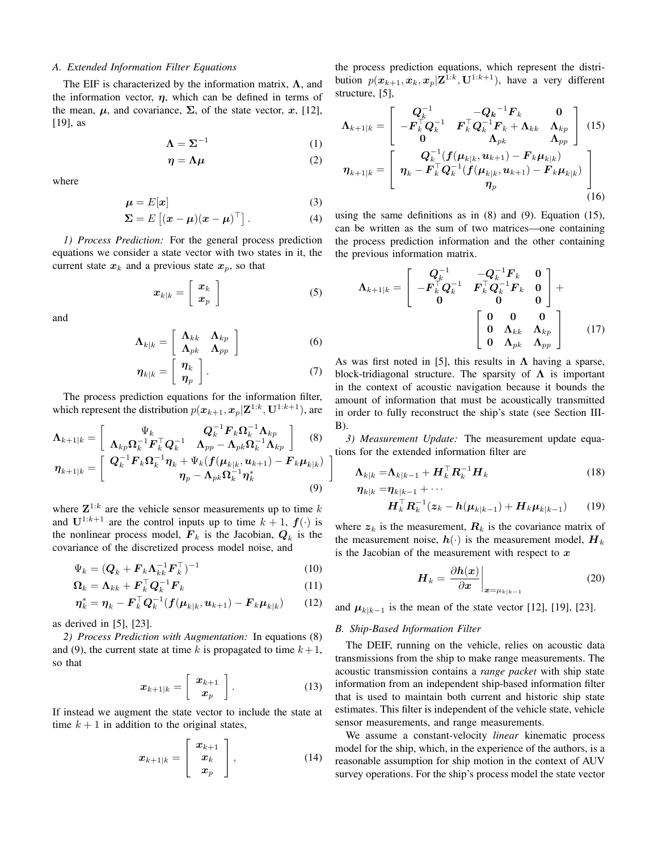#### *A. Extended Information Filter Equations*

The EIF is characterized by the information matrix,  $\Lambda$ , and the information vector,  $\eta$ , which can be defined in terms of the mean,  $\mu$ , and covariance,  $\Sigma$ , of the state vector, x, [12], [19], as

$$
\Lambda = \Sigma^{-1} \tag{1}
$$

$$
\eta = \Lambda \mu \tag{2}
$$

where

$$
\boldsymbol{\mu} = E[\boldsymbol{x}] \tag{3}
$$

$$
\Sigma = E\left[ (\boldsymbol{x} - \boldsymbol{\mu})(\boldsymbol{x} - \boldsymbol{\mu})^{\top} \right]. \tag{4}
$$

*1) Process Prediction:* For the general process prediction equations we consider a state vector with two states in it, the current state  $x_k$  and a previous state  $x_p$ , so that

$$
x_{k|k} = \left[\begin{array}{c} x_k \\ x_p \end{array}\right] \tag{5}
$$

and

$$
\Lambda_{k|k} = \left[ \begin{array}{cc} \Lambda_{kk} & \Lambda_{kp} \\ \Lambda_{pk} & \Lambda_{pp} \end{array} \right] \tag{6}
$$

$$
\boldsymbol{\eta}_{k|k} = \left[ \begin{array}{c} \boldsymbol{\eta}_k \\ \boldsymbol{\eta}_p \end{array} \right]. \tag{7}
$$

The process prediction equations for the information filter, which represent the distribution  $p(\boldsymbol{x}_{k+1},\boldsymbol{x}_p|\mathbf{Z}^{1:k},\mathbf{U}^{1:k+1}),$  are

$$
\Lambda_{k+1|k} = \begin{bmatrix} \Psi_k & Q_k^{-1} \mathbf{F}_k \Omega_k^{-1} \Lambda_{kp} \\ \Lambda_{kp} \Omega_k^{-1} \mathbf{F}_k^\top Q_k^{-1} & \Lambda_{pp} - \Lambda_{pk} \Omega_k^{-1} \Lambda_{kp} \end{bmatrix}
$$
 (8)

$$
\boldsymbol{\eta}_{k+1|k} = \left[ \begin{array}{c} \boldsymbol{Q}_k^{-1} \boldsymbol{F}_k \boldsymbol{\Omega}_k^{-1} \boldsymbol{\eta}_k + \boldsymbol{\Psi}_k (\boldsymbol{f}(\boldsymbol{\mu}_{k|k}, \boldsymbol{u}_{k+1}) - \boldsymbol{F}_k \boldsymbol{\mu}_{k|k}) \\ \boldsymbol{m}_k - \boldsymbol{\Lambda}_k \boldsymbol{\Omega}^{-1} \boldsymbol{p}_k^* \end{array} \right]
$$

$$
\boldsymbol{\eta}_p - \boldsymbol{\Lambda}_{pk} \boldsymbol{\Omega}_k^{-1} \boldsymbol{\eta}_k^* \tag{9}
$$

where  $\mathbf{Z}^{1:k}$  are the vehicle sensor measurements up to time k and  $\mathbf{U}^{1:k+1}$  are the control inputs up to time  $k+1$ ,  $f(\cdot)$  is the nonlinear process model,  $\mathbf{F}_k$  is the Jacobian,  $\mathbf{Q}_k$  is the covariance of the discretized process model noise, and

$$
\Psi_k = (\mathbf{Q}_k + \mathbf{F}_k \Lambda_{kk}^{-1} \mathbf{F}_k^\top)^{-1} \tag{10}
$$

$$
\Omega_k = \Lambda_{kk} + \boldsymbol{F}_k^\top \boldsymbol{Q}_k^{-1} \boldsymbol{F}_k \tag{11}
$$

$$
\eta_k^* = \eta_k - \mathbf{F}_k^\top \mathbf{Q}_k^{-1} (\mathbf{f}(\boldsymbol{\mu}_{k|k}, \boldsymbol{u}_{k+1}) - \mathbf{F}_k \boldsymbol{\mu}_{k|k}) \qquad (12)
$$

as derived in [5], [23].

*2) Process Prediction with Augmentation:* In equations (8) and (9), the current state at time k is propagated to time  $k+1$ , so that

$$
x_{k+1|k} = \left[\begin{array}{c} x_{k+1} \\ x_p \end{array}\right]. \tag{13}
$$

If instead we augment the state vector to include the state at time  $k + 1$  in addition to the original states,

$$
x_{k+1|k} = \left[\begin{array}{c} x_{k+1} \\ x_k \\ x_p \end{array}\right], \tag{14}
$$

the process prediction equations, which represent the distribution  $p(\mathbf{x}_{k+1}, \mathbf{x}_k, \mathbf{x}_p | \mathbf{Z}^{1:k}, \mathbf{U}^{1:k+1})$ , have a very different structure, [5],

$$
\Lambda_{k+1|k} = \begin{bmatrix}\nQ_k^{-1} & -Q_k^{-1}F_k & 0 \\
-F_k^{-1}Q_k^{-1} & F_k^{-1}Q_k^{-1}F_k + \Lambda_{kk} & \Lambda_{kp} \\
0 & \Lambda_{pk} & \Lambda_{pp}\n\end{bmatrix}
$$
(15)  
\n
$$
\eta_{k+1|k} = \begin{bmatrix}\nQ_k^{-1}(f(\mu_{k|k}, u_{k+1}) - F_k \mu_{k|k}) \\
\eta_k - F_k^{-1}Q_k^{-1}(f(\mu_{k|k}, u_{k+1}) - F_k \mu_{k|k}) \\
\eta_p\n\end{bmatrix}
$$
(16)

using the same definitions as in (8) and (9). Equation (15), can be written as the sum of two matrices—one containing the process prediction information and the other containing the previous information matrix.

$$
\Lambda_{k+1|k} = \begin{bmatrix} Q_k^{-1} & -Q_k^{-1}F_k & 0 \\ -F_k^{-1}Q_k^{-1} & F_k^{-1}Q_k^{-1}F_k & 0 \\ 0 & 0 & 0 \end{bmatrix} + \begin{bmatrix} 0 & 0 & 0 \\ 0 & \Lambda_{kk} & \Lambda_{kp} \\ 0 & \Lambda_{pk} & \Lambda_{pp} \end{bmatrix}
$$
 (17)

As was first noted in [5], this results in  $\Lambda$  having a sparse, block-tridiagonal structure. The sparsity of  $\Lambda$  is important in the context of acoustic navigation because it bounds the amount of information that must be acoustically transmitted in order to fully reconstruct the ship's state (see Section III-B).

1 *3) Measurement Update:* The measurement update equations for the extended information filter are

$$
\Lambda_{k|k} = \Lambda_{k|k-1} + \boldsymbol{H}_k^\top \boldsymbol{R}_k^{-1} \boldsymbol{H}_k
$$
\n(18)

$$
\eta_{k|k} = \eta_{k|k-1} + \cdots
$$
  
\n
$$
H_k^{\top} R_k^{-1} (z_k - h(\mu_{k|k-1}) + H_k \mu_{k|k-1})
$$
 (19)

where  $z_k$  is the measurement,  $\mathbf{R}_k$  is the covariance matrix of the measurement noise,  $h(\cdot)$  is the measurement model,  $H_k$ is the Jacobian of the measurement with respect to  $x$ 

$$
\boldsymbol{H}_{k} = \left. \frac{\partial \boldsymbol{h}(\boldsymbol{x})}{\partial \boldsymbol{x}} \right|_{\boldsymbol{x} = \mu_{k|k-1}} \tag{20}
$$

and  $\mu_{k|k-1}$  is the mean of the state vector [12], [19], [23].

# *B. Ship-Based Information Filter*

The DEIF, running on the vehicle, relies on acoustic data transmissions from the ship to make range measurements. The acoustic transmission contains a *range packet* with ship state information from an independent ship-based information filter that is used to maintain both current and historic ship state estimates. This filter is independent of the vehicle state, vehicle sensor measurements, and range measurements.

We assume a constant-velocity *linear* kinematic process model for the ship, which, in the experience of the authors, is a reasonable assumption for ship motion in the context of AUV survey operations. For the ship's process model the state vector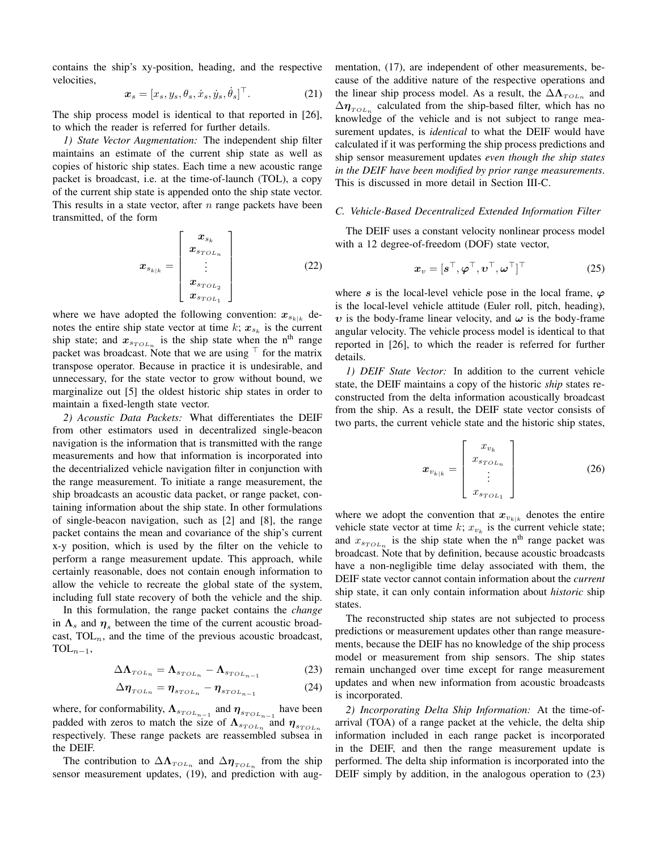contains the ship's xy-position, heading, and the respective velocities,

$$
\boldsymbol{x}_s = [x_s, y_s, \theta_s, \dot{x}_s, \dot{y}_s, \dot{\theta}_s]^\top. \tag{21}
$$

The ship process model is identical to that reported in [26], to which the reader is referred for further details.

*1) State Vector Augmentation:* The independent ship filter maintains an estimate of the current ship state as well as copies of historic ship states. Each time a new acoustic range packet is broadcast, i.e. at the time-of-launch (TOL), a copy of the current ship state is appended onto the ship state vector. This results in a state vector, after  $n$  range packets have been transmitted, of the form

$$
\boldsymbol{x}_{s_{k|k}} = \begin{bmatrix} \boldsymbol{x}_{s_k} \\ \boldsymbol{x}_{s_{TOL_n}} \\ \vdots \\ \boldsymbol{x}_{s_{TOL_2}} \\ \boldsymbol{x}_{s_{TOL_1}} \end{bmatrix}
$$
(22)

where we have adopted the following convention:  $x_{s_{k|k}}$  denotes the entire ship state vector at time  $k$ ;  $x_{s_k}$  is the current ship state; and  $x_{s_{TOL_n}}$  is the ship state when the n<sup>th</sup> range packet was broadcast. Note that we are using  $\top$  for the matrix transpose operator. Because in practice it is undesirable, and unnecessary, for the state vector to grow without bound, we marginalize out [5] the oldest historic ship states in order to maintain a fixed-length state vector.

*2) Acoustic Data Packets:* What differentiates the DEIF from other estimators used in decentralized single-beacon navigation is the information that is transmitted with the range measurements and how that information is incorporated into the decentrialized vehicle navigation filter in conjunction with the range measurement. To initiate a range measurement, the ship broadcasts an acoustic data packet, or range packet, containing information about the ship state. In other formulations of single-beacon navigation, such as [2] and [8], the range packet contains the mean and covariance of the ship's current x-y position, which is used by the filter on the vehicle to perform a range measurement update. This approach, while certainly reasonable, does not contain enough information to allow the vehicle to recreate the global state of the system, including full state recovery of both the vehicle and the ship.

In this formulation, the range packet contains the *change* in  $\Lambda_s$  and  $\eta_s$  between the time of the current acoustic broadcast,  $TOL_n$ , and the time of the previous acoustic broadcast,  $TOL_{n-1}$ ,

$$
\Delta \Lambda_{TOL_n} = \Lambda_{s_{TOL_n}} - \Lambda_{s_{TOL_{n-1}}} \tag{23}
$$

$$
\Delta \eta_{TOL_n} = \eta_{s_{TOL_n}} - \eta_{s_{TOL_{n-1}}}
$$
\n(24)

where, for conformability,  $\Lambda_{s_{TOL_{n-1}}}$  and  $\eta_{s_{TOL_{n-1}}}$  have been padded with zeros to match the size of  $\Lambda_{s_{TOL_n}}$  and  $\eta_{s_{TOL_n}}$ respectively. These range packets are reassembled subsea in the DEIF.

The contribution to  $\Delta \Lambda_{TOL_n}$  and  $\Delta \eta_{TOL_n}$  from the ship sensor measurement updates, (19), and prediction with augmentation, (17), are independent of other measurements, because of the additive nature of the respective operations and the linear ship process model. As a result, the  $\Delta \Lambda_{TOL_n}$  and  $\Delta \eta_{TOL_n}$  calculated from the ship-based filter, which has no knowledge of the vehicle and is not subject to range measurement updates, is *identical* to what the DEIF would have calculated if it was performing the ship process predictions and ship sensor measurement updates *even though the ship states in the DEIF have been modified by prior range measurements*. This is discussed in more detail in Section III-C.

## *C. Vehicle-Based Decentralized Extended Information Filter*

The DEIF uses a constant velocity nonlinear process model with a 12 degree-of-freedom (DOF) state vector,

$$
\boldsymbol{x}_v = [\boldsymbol{s}^\top, \boldsymbol{\varphi}^\top, \boldsymbol{v}^\top, \boldsymbol{\omega}^\top]^\top \tag{25}
$$

where s is the local-level vehicle pose in the local frame,  $\varphi$ is the local-level vehicle attitude (Euler roll, pitch, heading),  $v$  is the body-frame linear velocity, and  $\omega$  is the body-frame angular velocity. The vehicle process model is identical to that reported in [26], to which the reader is referred for further details.

*1) DEIF State Vector:* In addition to the current vehicle state, the DEIF maintains a copy of the historic *ship* states reconstructed from the delta information acoustically broadcast from the ship. As a result, the DEIF state vector consists of two parts, the current vehicle state and the historic ship states,

$$
\boldsymbol{x}_{v_{k|k}} = \begin{bmatrix} x_{v_k} \\ x_{s_{TOL_n}} \\ \vdots \\ x_{s_{TOL_1}} \end{bmatrix}
$$
 (26)

where we adopt the convention that  $x_{v_{k|k}}$  denotes the entire vehicle state vector at time  $k$ ;  $x_{v_k}$  is the current vehicle state; and  $x_{s_{TOL_n}}$  is the ship state when the n<sup>th</sup> range packet was broadcast. Note that by definition, because acoustic broadcasts have a non-negligible time delay associated with them, the DEIF state vector cannot contain information about the *current* ship state, it can only contain information about *historic* ship states.

The reconstructed ship states are not subjected to process predictions or measurement updates other than range measurements, because the DEIF has no knowledge of the ship process model or measurement from ship sensors. The ship states remain unchanged over time except for range measurement updates and when new information from acoustic broadcasts is incorporated.

*2) Incorporating Delta Ship Information:* At the time-ofarrival (TOA) of a range packet at the vehicle, the delta ship information included in each range packet is incorporated in the DEIF, and then the range measurement update is performed. The delta ship information is incorporated into the DEIF simply by addition, in the analogous operation to (23)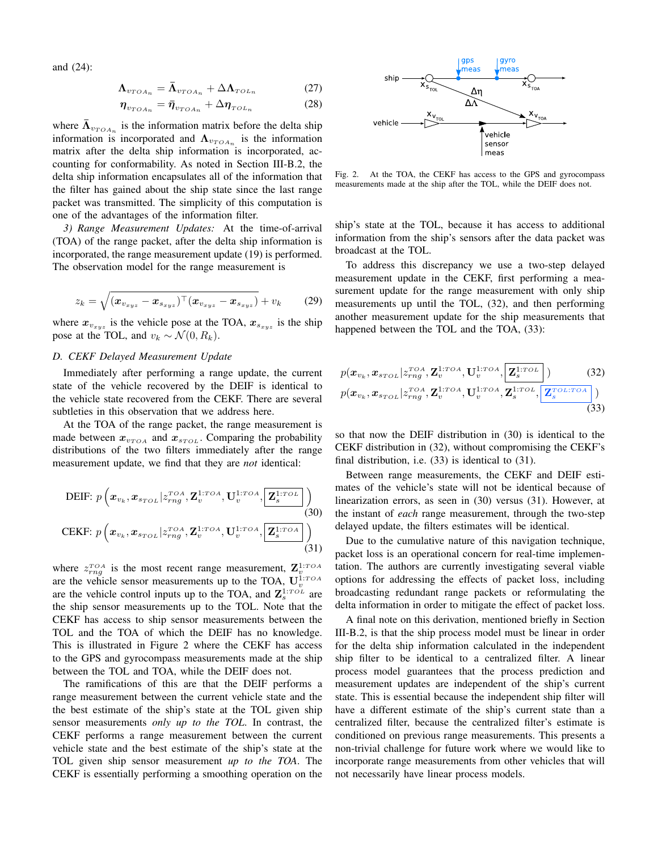and (24):

$$
\Lambda_{v_{TOA_n}} = \bar{\Lambda}_{v_{TOA_n}} + \Delta \Lambda_{TOL_n}
$$
 (27)

$$
\eta_{v_{TOA_n}} = \bar{\eta}_{v_{TOA_n}} + \Delta \eta_{_{TOL_n}}
$$
\n(28)

where  $\bar{\Lambda}_{v_{TOA_n}}$  is the information matrix before the delta ship information is incorporated and  $\Lambda_{v_{TOA_n}}$  is the information matrix after the delta ship information is incorporated, accounting for conformability. As noted in Section III-B.2, the delta ship information encapsulates all of the information that the filter has gained about the ship state since the last range packet was transmitted. The simplicity of this computation is one of the advantages of the information filter.

*3) Range Measurement Updates:* At the time-of-arrival (TOA) of the range packet, after the delta ship information is incorporated, the range measurement update (19) is performed. The observation model for the range measurement is

$$
z_k = \sqrt{(\boldsymbol{x}_{v_{xyz}} - \boldsymbol{x}_{s_{xyz}})^\top (\boldsymbol{x}_{v_{xyz}} - \boldsymbol{x}_{s_{xyz}})} + v_k
$$
 (29)

where  $x_{v_{xyz}}$  is the vehicle pose at the TOA,  $x_{s_{xyz}}$  is the ship pose at the TOL, and  $v_k \sim \mathcal{N}(0, R_k)$ .

# *D. CEKF Delayed Measurement Update*

Immediately after performing a range update, the current state of the vehicle recovered by the DEIF is identical to the vehicle state recovered from the CEKF. There are several subtleties in this observation that we address here.

At the TOA of the range packet, the range measurement is made between  $x_{v_{TOA}}$  and  $x_{s_{TOL}}$ . Comparing the probability distributions of the two filters immediately after the range measurement update, we find that they are *not* identical:

$$
\text{DEIF: } p\left(\boldsymbol{x}_{v_k}, \boldsymbol{x}_{s_{TOL}} | z_{rng}^{TOA}, \mathbf{Z}_{v}^{1:TOA}, \mathbf{U}_{v}^{1:TOA}, \boxed{\mathbf{Z}_{s}^{1:TOL}}\right) \tag{30}
$$
\n
$$
\text{CEKF: } p\left(\boldsymbol{x}_{v_k}, \boldsymbol{x}_{s_{TOL}} | z_{rng}^{TOA}, \mathbf{Z}_{v}^{1:TOA}, \mathbf{U}_{v}^{1:TOA}, \boxed{\mathbf{Z}_{s}^{1:TOA}}\right) \tag{31}
$$

where  $z_{rng}^{TOA}$  is the most recent range measurement,  $\mathbf{Z}_{v}^{1:TOA}$ are the vehicle sensor measurements up to the TOA,  $U_v^{1:TOA}$ are the vehicle control inputs up to the TOA, and  $\mathbf{Z}_{s}^{1:TOL}$  are the ship sensor measurements up to the TOL. Note that the CEKF has access to ship sensor measurements between the TOL and the TOA of which the DEIF has no knowledge. This is illustrated in Figure 2 where the CEKF has access to the GPS and gyrocompass measurements made at the ship between the TOL and TOA, while the DEIF does not.

The ramifications of this are that the DEIF performs a range measurement between the current vehicle state and the the best estimate of the ship's state at the TOL given ship sensor measurements *only up to the TOL*. In contrast, the CEKF performs a range measurement between the current vehicle state and the best estimate of the ship's state at the TOL given ship sensor measurement *up to the TOA*. The CEKF is essentially performing a smoothing operation on the



Fig. 2. At the TOA, the CEKF has access to the GPS and gyrocompass measurements made at the ship after the TOL, while the DEIF does not.

ship's state at the TOL, because it has access to additional information from the ship's sensors after the data packet was broadcast at the TOL.

To address this discrepancy we use a two-step delayed measurement update in the CEKF, first performing a measurement update for the range measurement with only ship measurements up until the TOL, (32), and then performing another measurement update for the ship measurements that happened between the TOL and the TOA, (33):

$$
p(\boldsymbol{x}_{v_k}, \boldsymbol{x}_{\text{STOL}} | \boldsymbol{z}_{rng}^{TOA}, \mathbf{Z}_{v}^{1:TOA}, \mathbf{U}_{v}^{1:TOA}, \overline{\mathbf{Z}_{s}^{1:TOL}}) \qquad (32)
$$
  

$$
p(\boldsymbol{x}_{v_k}, \boldsymbol{x}_{\text{STOL}} | \boldsymbol{z}_{rng}^{TOA}, \mathbf{Z}_{v}^{1:TOA}, \mathbf{U}_{v}^{1:TOA}, \mathbf{Z}_{s}^{1:TOL}, \overline{\mathbf{Z}_{s}^{TOL:TOA}}) \qquad (33)
$$

so that now the DEIF distribution in (30) is identical to the CEKF distribution in (32), without compromising the CEKF's final distribution, i.e. (33) is identical to (31).

Between range measurements, the CEKF and DEIF estimates of the vehicle's state will not be identical because of linearization errors, as seen in (30) versus (31). However, at the instant of *each* range measurement, through the two-step delayed update, the filters estimates will be identical.

Due to the cumulative nature of this navigation technique, packet loss is an operational concern for real-time implementation. The authors are currently investigating several viable options for addressing the effects of packet loss, including broadcasting redundant range packets or reformulating the delta information in order to mitigate the effect of packet loss.

A final note on this derivation, mentioned briefly in Section III-B.2, is that the ship process model must be linear in order for the delta ship information calculated in the independent ship filter to be identical to a centralized filter. A linear process model guarantees that the process prediction and measurement updates are independent of the ship's current state. This is essential because the independent ship filter will have a different estimate of the ship's current state than a centralized filter, because the centralized filter's estimate is conditioned on previous range measurements. This presents a non-trivial challenge for future work where we would like to incorporate range measurements from other vehicles that will not necessarily have linear process models.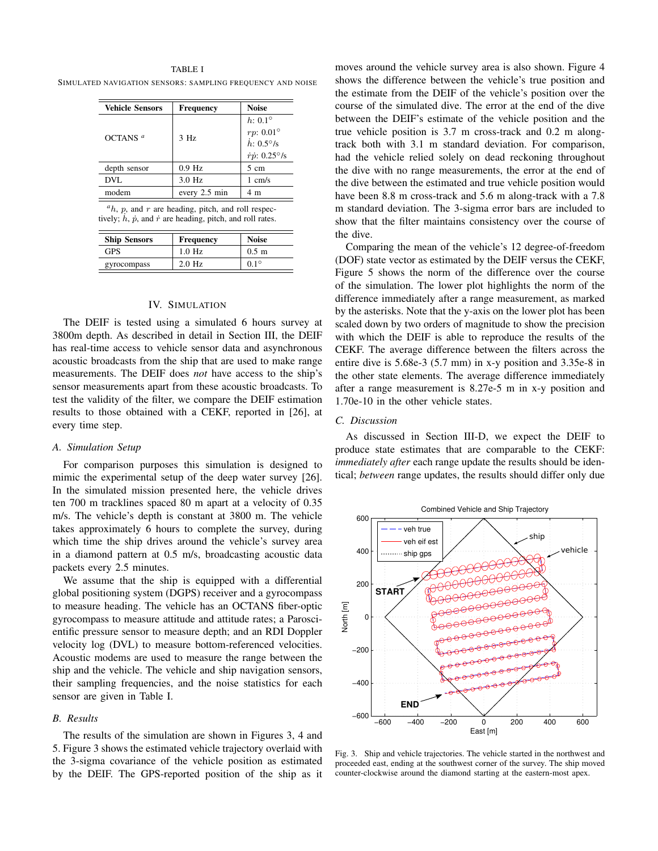TABLE I SIMULATED NAVIGATION SENSORS: SAMPLING FREQUENCY AND NOISE

| <b>Vehicle Sensors</b> | Frequency        | <b>Noise</b>                                                                                           |
|------------------------|------------------|--------------------------------------------------------------------------------------------------------|
| OCTANS $a$             | 3 H <sub>z</sub> | $h: 0.1^{\circ}$<br>$rp:$ $0.01^{\circ}$<br>$h: 0.5^{\circ}/s$<br>$\dot{r}\dot{p}$ : 0.25 $\degree$ /s |
| depth sensor           | $0.9$ Hz         | $5 \text{ cm}$                                                                                         |
| DVL                    | $3.0$ Hz         | $1 \text{ cm/s}$                                                                                       |
| modem                  | every 2.5 min    | 4 m                                                                                                    |

 $a<sup>a</sup>h$ , p, and r are heading, pitch, and roll respectively;  $h$ ,  $\dot{p}$ , and  $\dot{r}$  are heading, pitch, and roll rates.

| <b>Ship Sensors</b> | Frequency | <b>Noise</b>    |
|---------------------|-----------|-----------------|
| GPS                 | $1.0$ Hz  | $0.5 \text{ m}$ |
| gyrocompass         | $2.0$ Hz  | $0.1^\circ$     |

# IV. SIMULATION

The DEIF is tested using a simulated 6 hours survey at 3800m depth. As described in detail in Section III, the DEIF has real-time access to vehicle sensor data and asynchronous acoustic broadcasts from the ship that are used to make range measurements. The DEIF does *not* have access to the ship's sensor measurements apart from these acoustic broadcasts. To test the validity of the filter, we compare the DEIF estimation results to those obtained with a CEKF, reported in [26], at every time step.

## *A. Simulation Setup*

For comparison purposes this simulation is designed to mimic the experimental setup of the deep water survey [26]. In the simulated mission presented here, the vehicle drives ten 700 m tracklines spaced 80 m apart at a velocity of 0.35 m/s. The vehicle's depth is constant at 3800 m. The vehicle takes approximately 6 hours to complete the survey, during which time the ship drives around the vehicle's survey area in a diamond pattern at 0.5 m/s, broadcasting acoustic data packets every 2.5 minutes.

We assume that the ship is equipped with a differential global positioning system (DGPS) receiver and a gyrocompass to measure heading. The vehicle has an OCTANS fiber-optic gyrocompass to measure attitude and attitude rates; a Paroscientific pressure sensor to measure depth; and an RDI Doppler velocity log (DVL) to measure bottom-referenced velocities. Acoustic modems are used to measure the range between the ship and the vehicle. The vehicle and ship navigation sensors, their sampling frequencies, and the noise statistics for each sensor are given in Table I.

## *B. Results*

The results of the simulation are shown in Figures 3, 4 and 5. Figure 3 shows the estimated vehicle trajectory overlaid with the 3-sigma covariance of the vehicle position as estimated by the DEIF. The GPS-reported position of the ship as it

moves around the vehicle survey area is also shown. Figure 4 shows the difference between the vehicle's true position and the estimate from the DEIF of the vehicle's position over the course of the simulated dive. The error at the end of the dive between the DEIF's estimate of the vehicle position and the true vehicle position is 3.7 m cross-track and 0.2 m alongtrack both with 3.1 m standard deviation. For comparison, had the vehicle relied solely on dead reckoning throughout the dive with no range measurements, the error at the end of the dive between the estimated and true vehicle position would have been 8.8 m cross-track and 5.6 m along-track with a 7.8 m standard deviation. The 3-sigma error bars are included to show that the filter maintains consistency over the course of the dive.

Comparing the mean of the vehicle's 12 degree-of-freedom (DOF) state vector as estimated by the DEIF versus the CEKF, Figure 5 shows the norm of the difference over the course of the simulation. The lower plot highlights the norm of the difference immediately after a range measurement, as marked by the asterisks. Note that the y-axis on the lower plot has been scaled down by two orders of magnitude to show the precision with which the DEIF is able to reproduce the results of the CEKF. The average difference between the filters across the entire dive is 5.68e-3 (5.7 mm) in x-y position and 3.35e-8 in the other state elements. The average difference immediately after a range measurement is 8.27e-5 m in x-y position and 1.70e-10 in the other vehicle states.

## *C. Discussion*

As discussed in Section III-D, we expect the DEIF to produce state estimates that are comparable to the CEKF: *immediately after* each range update the results should be identical; *between* range updates, the results should differ only due



Fig. 3. Ship and vehicle trajectories. The vehicle started in the northwest and proceeded east, ending at the southwest corner of the survey. The ship moved counter-clockwise around the diamond starting at the eastern-most apex.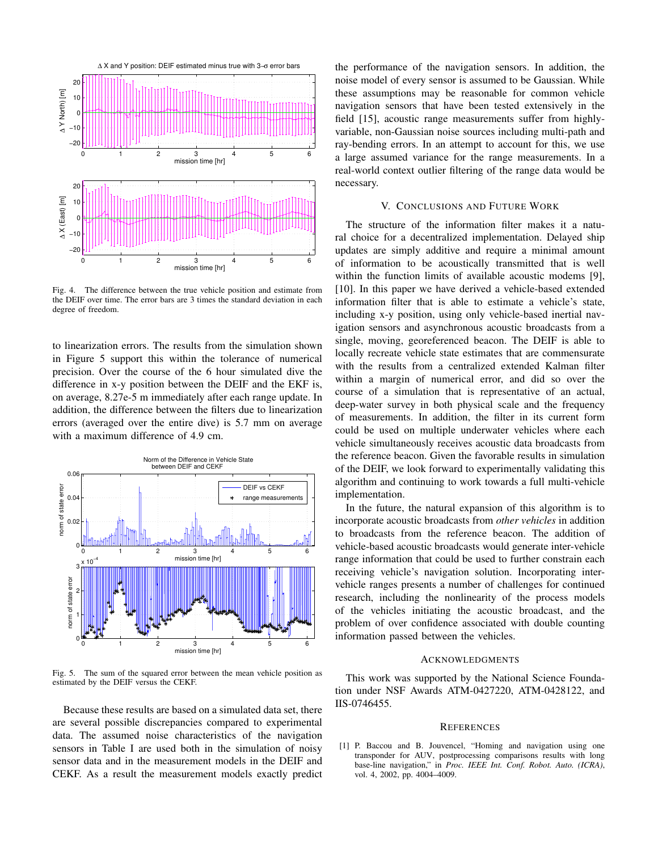

Fig. 4. The difference between the true vehicle position and estimate from the DEIF over time. The error bars are 3 times the standard deviation in each degree of freedom.

to linearization errors. The results from the simulation shown in Figure 5 support this within the tolerance of numerical precision. Over the course of the 6 hour simulated dive the difference in x-y position between the DEIF and the EKF is, on average, 8.27e-5 m immediately after each range update. In addition, the difference between the filters due to linearization errors (averaged over the entire dive) is 5.7 mm on average with a maximum difference of 4.9 cm.



Fig. 5. The sum of the squared error between the mean vehicle position as estimated by the DEIF versus the CEKF.

Because these results are based on a simulated data set, there are several possible discrepancies compared to experimental data. The assumed noise characteristics of the navigation sensors in Table I are used both in the simulation of noisy sensor data and in the measurement models in the DEIF and CEKF. As a result the measurement models exactly predict the performance of the navigation sensors. In addition, the noise model of every sensor is assumed to be Gaussian. While these assumptions may be reasonable for common vehicle navigation sensors that have been tested extensively in the field [15], acoustic range measurements suffer from highlyvariable, non-Gaussian noise sources including multi-path and ray-bending errors. In an attempt to account for this, we use a large assumed variance for the range measurements. In a real-world context outlier filtering of the range data would be necessary.

## V. CONCLUSIONS AND FUTURE WORK

The structure of the information filter makes it a natural choice for a decentralized implementation. Delayed ship updates are simply additive and require a minimal amount of information to be acoustically transmitted that is well within the function limits of available acoustic modems [9], [10]. In this paper we have derived a vehicle-based extended information filter that is able to estimate a vehicle's state, including x-y position, using only vehicle-based inertial navigation sensors and asynchronous acoustic broadcasts from a single, moving, georeferenced beacon. The DEIF is able to locally recreate vehicle state estimates that are commensurate with the results from a centralized extended Kalman filter within a margin of numerical error, and did so over the course of a simulation that is representative of an actual, deep-water survey in both physical scale and the frequency of measurements. In addition, the filter in its current form could be used on multiple underwater vehicles where each vehicle simultaneously receives acoustic data broadcasts from the reference beacon. Given the favorable results in simulation of the DEIF, we look forward to experimentally validating this algorithm and continuing to work towards a full multi-vehicle implementation.

In the future, the natural expansion of this algorithm is to incorporate acoustic broadcasts from *other vehicles* in addition to broadcasts from the reference beacon. The addition of vehicle-based acoustic broadcasts would generate inter-vehicle range information that could be used to further constrain each receiving vehicle's navigation solution. Incorporating intervehicle ranges presents a number of challenges for continued research, including the nonlinearity of the process models of the vehicles initiating the acoustic broadcast, and the problem of over confidence associated with double counting information passed between the vehicles.

#### ACKNOWLEDGMENTS

This work was supported by the National Science Foundation under NSF Awards ATM-0427220, ATM-0428122, and IIS-0746455.

#### **REFERENCES**

[1] P. Baccou and B. Jouvencel, "Homing and navigation using one transponder for AUV, postprocessing comparisons results with long base-line navigation," in *Proc. IEEE Int. Conf. Robot. Auto. (ICRA)*, vol. 4, 2002, pp. 4004–4009.